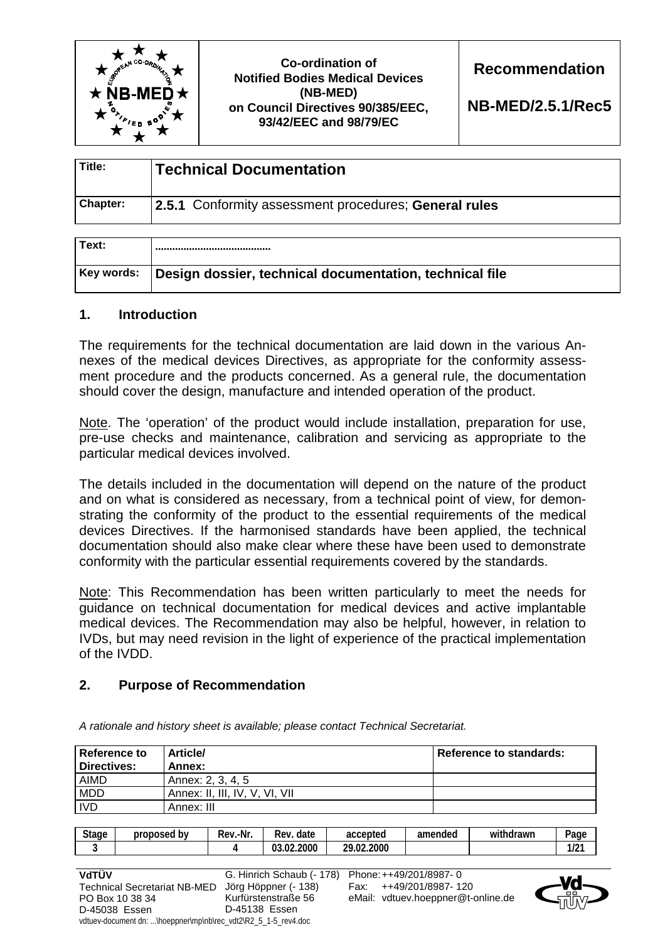

**Co-ordination of Notified Bodies Medical Devices (NB-MED) on Council Directives 90/385/EEC, 93/42/EEC and 98/79/EC** 

**Recommendation** 

**NB-MED/2.5.1/Rec5** 

| Title:          | <b>Technical Documentation</b>                               |  |
|-----------------|--------------------------------------------------------------|--|
| <b>Chapter:</b> | <b>2.5.1</b> Conformity assessment procedures; General rules |  |

| Text:      |                                                         |
|------------|---------------------------------------------------------|
| Key words: | Design dossier, technical documentation, technical file |

#### **1. Introduction**

The requirements for the technical documentation are laid down in the various Annexes of the medical devices Directives, as appropriate for the conformity assessment procedure and the products concerned. As a general rule, the documentation should cover the design, manufacture and intended operation of the product.

Note. The 'operation' of the product would include installation, preparation for use, pre-use checks and maintenance, calibration and servicing as appropriate to the particular medical devices involved.

The details included in the documentation will depend on the nature of the product and on what is considered as necessary, from a technical point of view, for demonstrating the conformity of the product to the essential requirements of the medical devices Directives. If the harmonised standards have been applied, the technical documentation should also make clear where these have been used to demonstrate conformity with the particular essential requirements covered by the standards.

Note: This Recommendation has been written particularly to meet the needs for guidance on technical documentation for medical devices and active implantable medical devices. The Recommendation may also be helpful, however, in relation to IVDs, but may need revision in the light of experience of the practical implementation of the IVDD.

## **2. Purpose of Recommendation**

| Reference to<br>l Directives: | <b>Article/</b><br>Annex:      | Reference to standards: |
|-------------------------------|--------------------------------|-------------------------|
| <b>AIMD</b>                   | Annex: 2, 3, 4, 5              |                         |
| <b>MDD</b>                    | Annex: II, III, IV, V, VI, VII |                         |
| <b>IVD</b>                    | Annex: III                     |                         |

*A rationale and history sheet is available; please contact Technical Secretariat.* 

| <b>Stage</b> | proposed by | Rev.-Nr. | date<br>Rev.   | accepted   | amended | withdrawn | $q$ age     |
|--------------|-------------|----------|----------------|------------|---------|-----------|-------------|
|              |             |          | .02.2000<br>03 | 29.02.2000 |         |           | 101<br>11 Z |
|              |             |          |                |            |         |           |             |



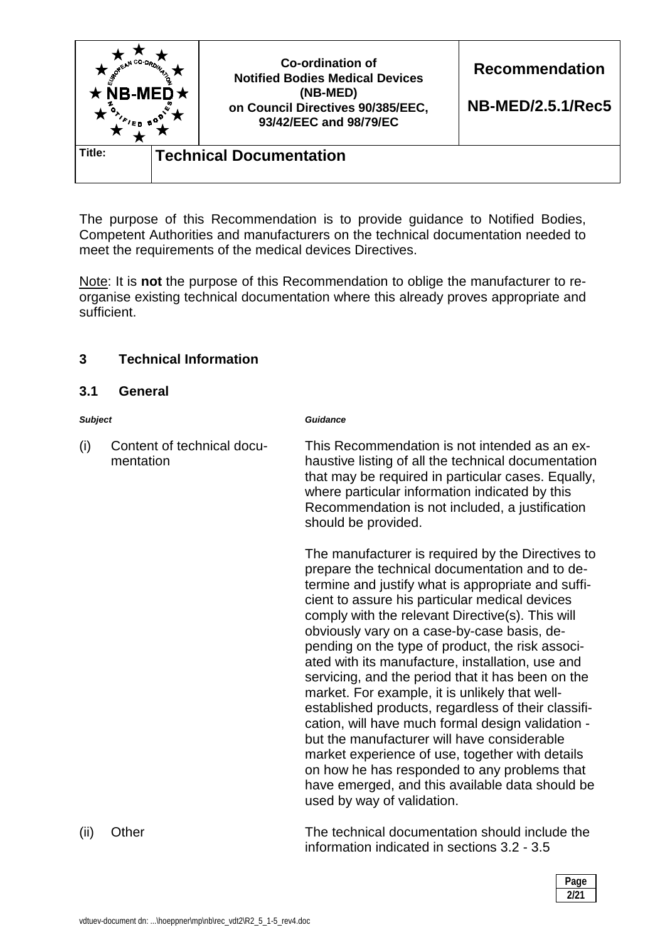| $\star$ NB-MED $\star$                   |  | Co-ordination of<br><b>Notified Bodies Medical Devices</b><br>(NB-MED)<br>on Council Directives 90/385/EEC,<br>93/42/EEC and 98/79/EC | <b>Recommendation</b><br><b>NB-MED/2.5.1/Rec5</b> |
|------------------------------------------|--|---------------------------------------------------------------------------------------------------------------------------------------|---------------------------------------------------|
| Title:<br><b>Technical Documentation</b> |  |                                                                                                                                       |                                                   |

The purpose of this Recommendation is to provide guidance to Notified Bodies, Competent Authorities and manufacturers on the technical documentation needed to meet the requirements of the medical devices Directives.

Note: It is **not** the purpose of this Recommendation to oblige the manufacturer to reorganise existing technical documentation where this already proves appropriate and sufficient.

## **3 Technical Information**

#### **3.1 General**

#### *Subject Guidance*

(i) Content of technical documentation This Recommendation is not intended as an exhaustive listing of all the technical documentation that may be required in particular cases. Equally, where particular information indicated by this Recommendation is not included, a justification should be provided.

> The manufacturer is required by the Directives to prepare the technical documentation and to determine and justify what is appropriate and sufficient to assure his particular medical devices comply with the relevant Directive(s). This will obviously vary on a case-by-case basis, depending on the type of product, the risk associated with its manufacture, installation, use and servicing, and the period that it has been on the market. For example, it is unlikely that wellestablished products, regardless of their classification, will have much formal design validation but the manufacturer will have considerable market experience of use, together with details on how he has responded to any problems that have emerged, and this available data should be used by way of validation.

(ii) Other The technical documentation should include the information indicated in sections 3.2 - 3.5

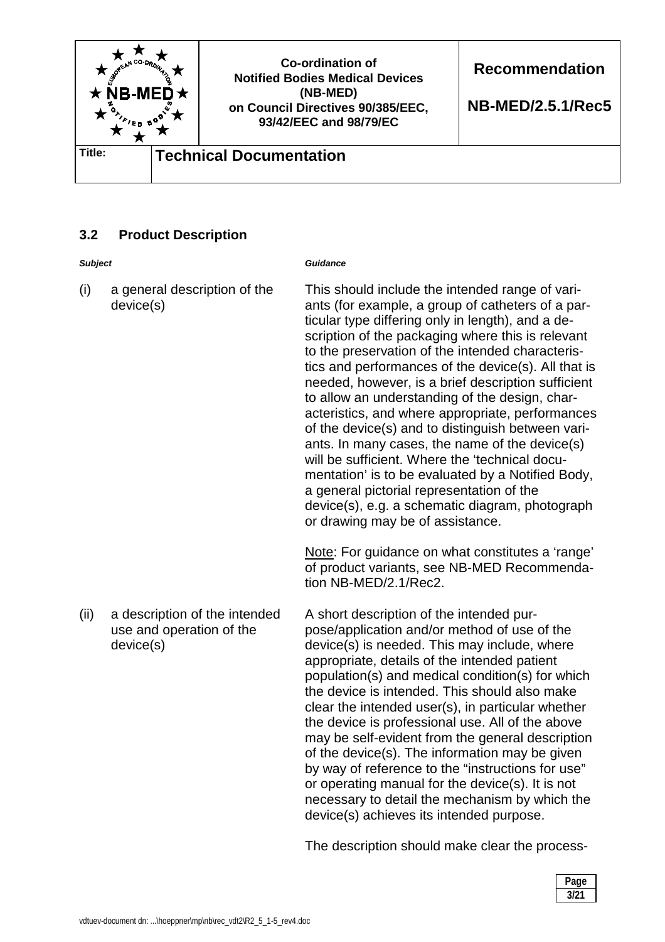

# **3.2 Product Description**

| <b>Subject</b> |                                                                        | Guidance                                                                                                                                                                                                                                                                                                                                                                                                                                                                                                                                                                                                                                                                                                                                                                                                                                                                                                                                                            |
|----------------|------------------------------------------------------------------------|---------------------------------------------------------------------------------------------------------------------------------------------------------------------------------------------------------------------------------------------------------------------------------------------------------------------------------------------------------------------------------------------------------------------------------------------------------------------------------------------------------------------------------------------------------------------------------------------------------------------------------------------------------------------------------------------------------------------------------------------------------------------------------------------------------------------------------------------------------------------------------------------------------------------------------------------------------------------|
| (i)            | a general description of the<br>device(s)                              | This should include the intended range of vari-<br>ants (for example, a group of catheters of a par-<br>ticular type differing only in length), and a de-<br>scription of the packaging where this is relevant<br>to the preservation of the intended characteris-<br>tics and performances of the device(s). All that is<br>needed, however, is a brief description sufficient<br>to allow an understanding of the design, char-<br>acteristics, and where appropriate, performances<br>of the device(s) and to distinguish between vari-<br>ants. In many cases, the name of the device(s)<br>will be sufficient. Where the 'technical docu-<br>mentation' is to be evaluated by a Notified Body,<br>a general pictorial representation of the<br>device(s), e.g. a schematic diagram, photograph<br>or drawing may be of assistance.<br>Note: For guidance on what constitutes a 'range'<br>of product variants, see NB-MED Recommenda-<br>tion NB-MED/2.1/Rec2. |
| (ii)           | a description of the intended<br>use and operation of the<br>device(s) | A short description of the intended pur-<br>pose/application and/or method of use of the<br>device(s) is needed. This may include, where<br>appropriate, details of the intended patient<br>population(s) and medical condition(s) for which<br>the device is intended. This should also make<br>clear the intended user(s), in particular whether<br>the device is professional use. All of the above<br>may be self-evident from the general description<br>of the device(s). The information may be given<br>by way of reference to the "instructions for use"<br>or operating manual for the device(s). It is not<br>necessary to detail the mechanism by which the<br>device(s) achieves its intended purpose.                                                                                                                                                                                                                                                 |

The description should make clear the process-

| Page |
|------|
| 3/21 |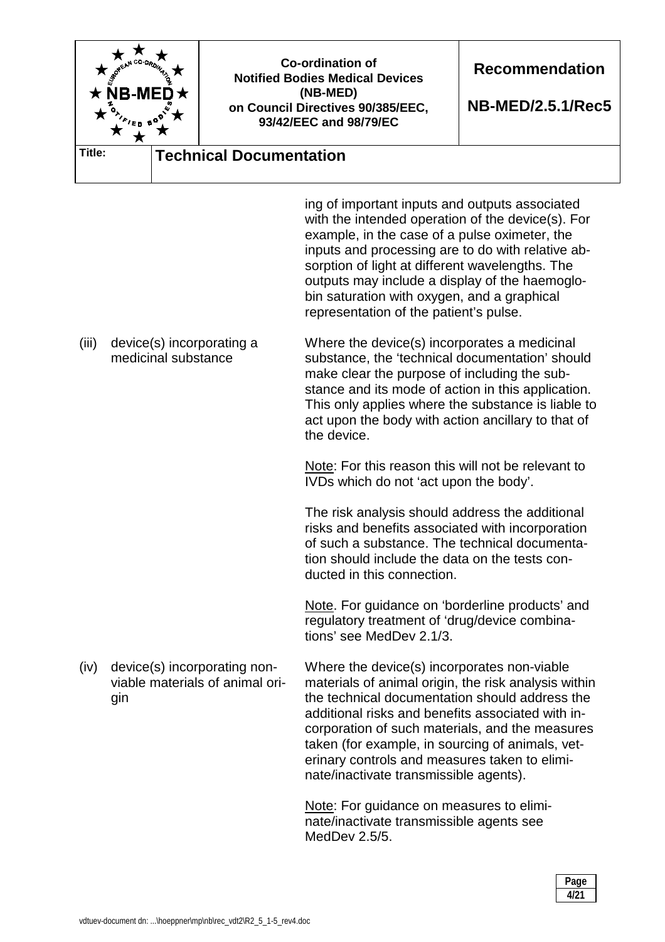|        | <b>NB-ME</b>                                     |                                 | <b>Co-ordination of</b><br><b>Notified Bodies Medical Devices</b><br>(NB-MED)<br>on Council Directives 90/385/EEC,<br>93/42/EEC and 98/79/EC                                                                                                                                                                                                                                                                 | <b>Recommendation</b><br><b>NB-MED/2.5.1/Rec5</b> |
|--------|--------------------------------------------------|---------------------------------|--------------------------------------------------------------------------------------------------------------------------------------------------------------------------------------------------------------------------------------------------------------------------------------------------------------------------------------------------------------------------------------------------------------|---------------------------------------------------|
| Title: |                                                  | <b>Technical Documentation</b>  |                                                                                                                                                                                                                                                                                                                                                                                                              |                                                   |
|        |                                                  |                                 | ing of important inputs and outputs associated<br>with the intended operation of the device(s). For<br>example, in the case of a pulse oximeter, the<br>inputs and processing are to do with relative ab-<br>sorption of light at different wavelengths. The<br>outputs may include a display of the haemoglo-<br>bin saturation with oxygen, and a graphical<br>representation of the patient's pulse.      |                                                   |
| (iii)  | device(s) incorporating a<br>medicinal substance |                                 | Where the device(s) incorporates a medicinal<br>substance, the 'technical documentation' should<br>make clear the purpose of including the sub-<br>stance and its mode of action in this application.<br>This only applies where the substance is liable to<br>act upon the body with action ancillary to that of<br>the device.                                                                             |                                                   |
|        |                                                  |                                 | Note: For this reason this will not be relevant to<br>IVDs which do not 'act upon the body'.                                                                                                                                                                                                                                                                                                                 |                                                   |
|        |                                                  |                                 | The risk analysis should address the additional<br>risks and benefits associated with incorporation<br>of such a substance. The technical documenta-<br>tion should include the data on the tests con-<br>ducted in this connection.                                                                                                                                                                         |                                                   |
|        |                                                  |                                 | Note. For guidance on 'borderline products' and<br>regulatory treatment of 'drug/device combina-<br>tions' see MedDev 2.1/3.                                                                                                                                                                                                                                                                                 |                                                   |
| (iv)   | device(s) incorporating non-<br>gin              | viable materials of animal ori- | Where the device(s) incorporates non-viable<br>materials of animal origin, the risk analysis within<br>the technical documentation should address the<br>additional risks and benefits associated with in-<br>corporation of such materials, and the measures<br>taken (for example, in sourcing of animals, vet-<br>erinary controls and measures taken to elimi-<br>nate/inactivate transmissible agents). |                                                   |
|        |                                                  |                                 | Note: For guidance on measures to elimi-<br>nate/inactivate transmissible agents see<br>MedDev 2.5/5.                                                                                                                                                                                                                                                                                                        |                                                   |

| Page<br>. |
|-----------|
| 4/21      |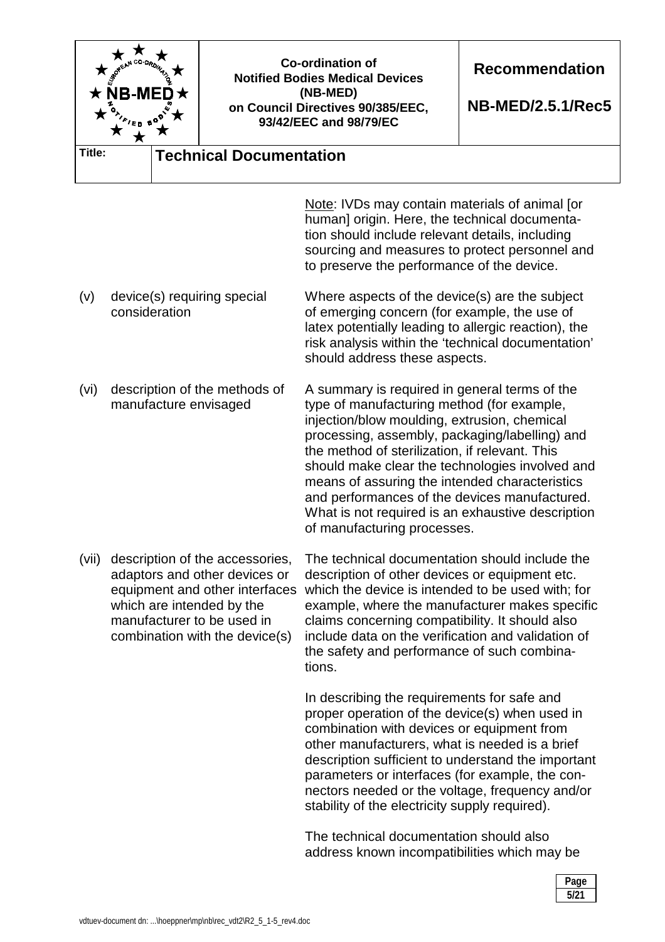| A M CO-ORDIN<br><b>NB-ME</b> |                                                         | <b>Co-ordination of</b><br><b>Notified Bodies Medical Devices</b><br>(NB-MED)<br>on Council Directives 90/385/EEC,<br>93/42/EEC and 98/79/EC | <b>Recommendation</b><br><b>NB-MED/2.5.1/Rec5</b>                                                                                                                                                                                                                                                                                                                                                                                                                                         |  |
|------------------------------|---------------------------------------------------------|----------------------------------------------------------------------------------------------------------------------------------------------|-------------------------------------------------------------------------------------------------------------------------------------------------------------------------------------------------------------------------------------------------------------------------------------------------------------------------------------------------------------------------------------------------------------------------------------------------------------------------------------------|--|
| Title:                       |                                                         | <b>Technical Documentation</b>                                                                                                               |                                                                                                                                                                                                                                                                                                                                                                                                                                                                                           |  |
|                              |                                                         |                                                                                                                                              | Note: IVDs may contain materials of animal [or<br>human] origin. Here, the technical documenta-<br>tion should include relevant details, including<br>sourcing and measures to protect personnel and<br>to preserve the performance of the device.                                                                                                                                                                                                                                        |  |
| (v)                          | device(s) requiring special<br>consideration            |                                                                                                                                              | Where aspects of the device(s) are the subject<br>of emerging concern (for example, the use of<br>latex potentially leading to allergic reaction), the<br>risk analysis within the 'technical documentation'<br>should address these aspects.                                                                                                                                                                                                                                             |  |
| (vi)                         | description of the methods of<br>manufacture envisaged  |                                                                                                                                              | A summary is required in general terms of the<br>type of manufacturing method (for example,<br>injection/blow moulding, extrusion, chemical<br>processing, assembly, packaging/labelling) and<br>the method of sterilization, if relevant. This<br>should make clear the technologies involved and<br>means of assuring the intended characteristics<br>and performances of the devices manufactured.<br>What is not required is an exhaustive description<br>of manufacturing processes. |  |
| (vii)                        | which are intended by the<br>manufacturer to be used in | description of the accessories,<br>adaptors and other devices or<br>equipment and other interfaces<br>combination with the device(s)         | The technical documentation should include the<br>description of other devices or equipment etc.<br>which the device is intended to be used with; for<br>example, where the manufacturer makes specific<br>claims concerning compatibility. It should also<br>include data on the verification and validation of<br>the safety and performance of such combina-<br>tions.                                                                                                                 |  |
|                              |                                                         |                                                                                                                                              | In describing the requirements for safe and                                                                                                                                                                                                                                                                                                                                                                                                                                               |  |

proper operation of the device(s) when used in combination with devices or equipment from other manufacturers, what is needed is a brief description sufficient to understand the important parameters or interfaces (for example, the connectors needed or the voltage, frequency and/or stability of the electricity supply required).

The technical documentation should also address known incompatibilities which may be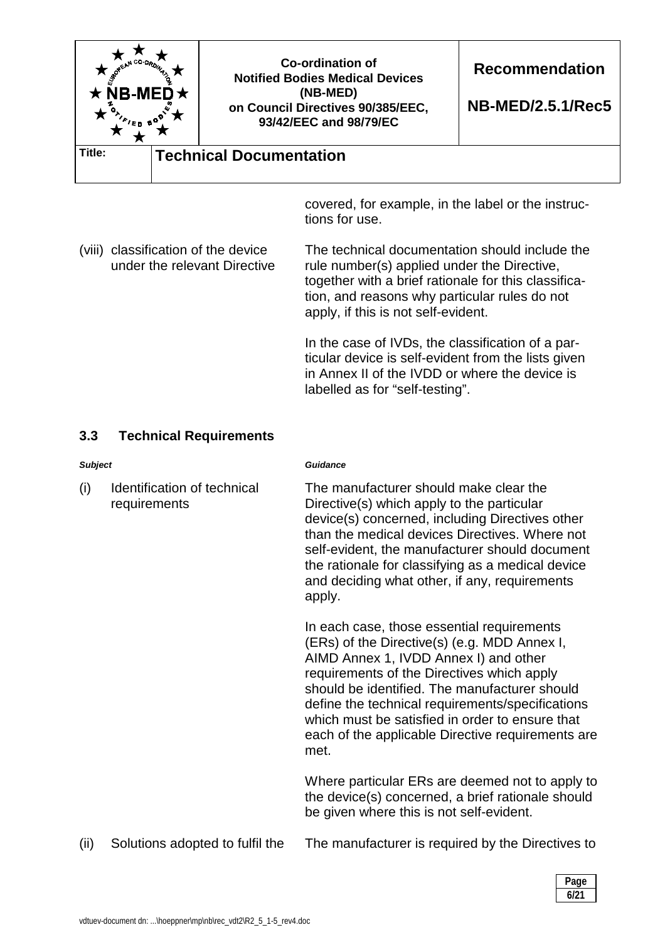

covered, for example, in the label or the instructions for use.

(viii) classification of the device under the relevant Directive The technical documentation should include the rule number(s) applied under the Directive, together with a brief rationale for this classification, and reasons why particular rules do not apply, if this is not self-evident.

> In the case of IVDs, the classification of a particular device is self-evident from the lists given in Annex II of the IVDD or where the device is labelled as for "self-testing".

#### **3.3 Technical Requirements**

*Subject Guidance* 

(i) Identification of technical requirements

The manufacturer should make clear the Directive(s) which apply to the particular device(s) concerned, including Directives other than the medical devices Directives. Where not self-evident, the manufacturer should document the rationale for classifying as a medical device and deciding what other, if any, requirements apply.

In each case, those essential requirements (ERs) of the Directive(s) (e.g. MDD Annex I, AIMD Annex 1, IVDD Annex I) and other requirements of the Directives which apply should be identified. The manufacturer should define the technical requirements/specifications which must be satisfied in order to ensure that each of the applicable Directive requirements are met.

Where particular ERs are deemed not to apply to the device(s) concerned, a brief rationale should be given where this is not self-evident.

(ii) Solutions adopted to fulfil the The manufacturer is required by the Directives to

| Page        |
|-------------|
| . .<br>6/21 |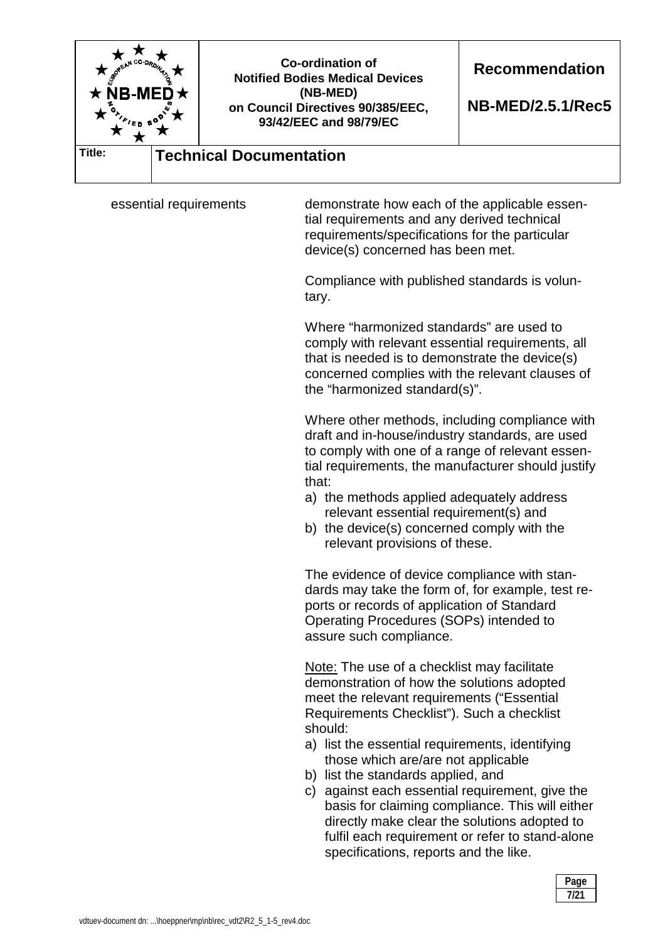

essential requirements demonstrate how each of the applicable essential requirements and any derived technical requirements/specifications for the particular device(s) concerned has been met.

> Compliance with published standards is voluntary.

Where "harmonized standards" are used to comply with relevant essential requirements, all that is needed is to demonstrate the device(s) concerned complies with the relevant clauses of the "harmonized standard(s)".

Where other methods, including compliance with draft and in-house/industry standards, are used to comply with one of a range of relevant essential requirements, the manufacturer should justify that:

- a) the methods applied adequately address relevant essential requirement(s) and
- b) the device(s) concerned comply with the relevant provisions of these.

The evidence of device compliance with standards may take the form of, for example, test reports or records of application of Standard Operating Procedures (SOPs) intended to assure such compliance.

Note: The use of a checklist may facilitate demonstration of how the solutions adopted meet the relevant requirements ("Essential Requirements Checklist"). Such a checklist should:

- a) list the essential requirements, identifying those which are/are not applicable
- b) list the standards applied, and
- c) against each essential requirement, give the basis for claiming compliance. This will either directly make clear the solutions adopted to fulfil each requirement or refer to stand-alone specifications, reports and the like.

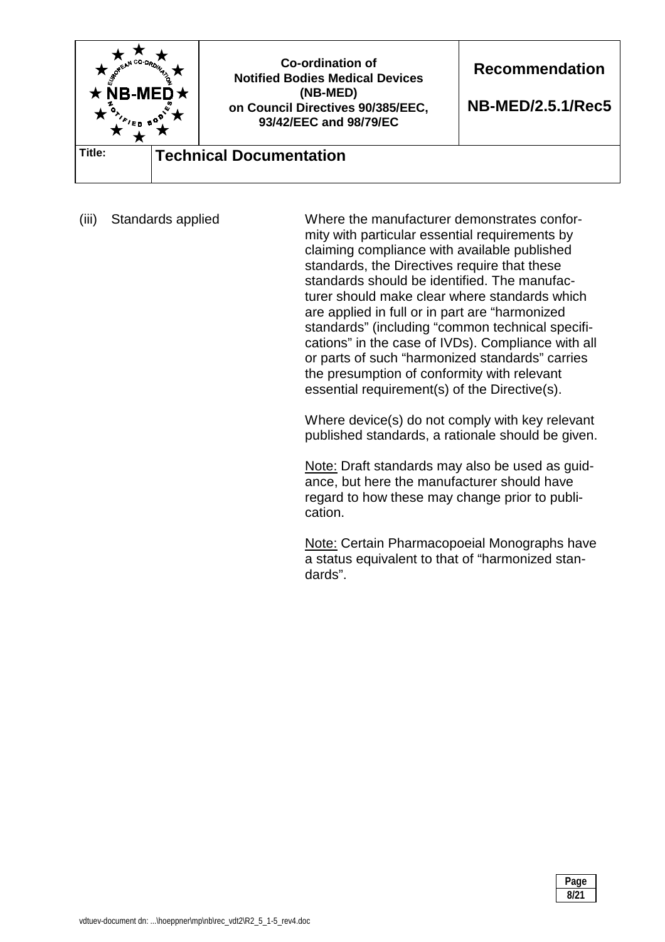

(iii) Standards applied Where the manufacturer demonstrates conformity with particular essential requirements by claiming compliance with available published standards, the Directives require that these standards should be identified. The manufacturer should make clear where standards which are applied in full or in part are "harmonized standards" (including "common technical specifications" in the case of IVDs). Compliance with all or parts of such "harmonized standards" carries the presumption of conformity with relevant essential requirement(s) of the Directive(s).

> Where device(s) do not comply with key relevant published standards, a rationale should be given.

> Note: Draft standards may also be used as guidance, but here the manufacturer should have regard to how these may change prior to publication.

Note: Certain Pharmacopoeial Monographs have a status equivalent to that of "harmonized standards".

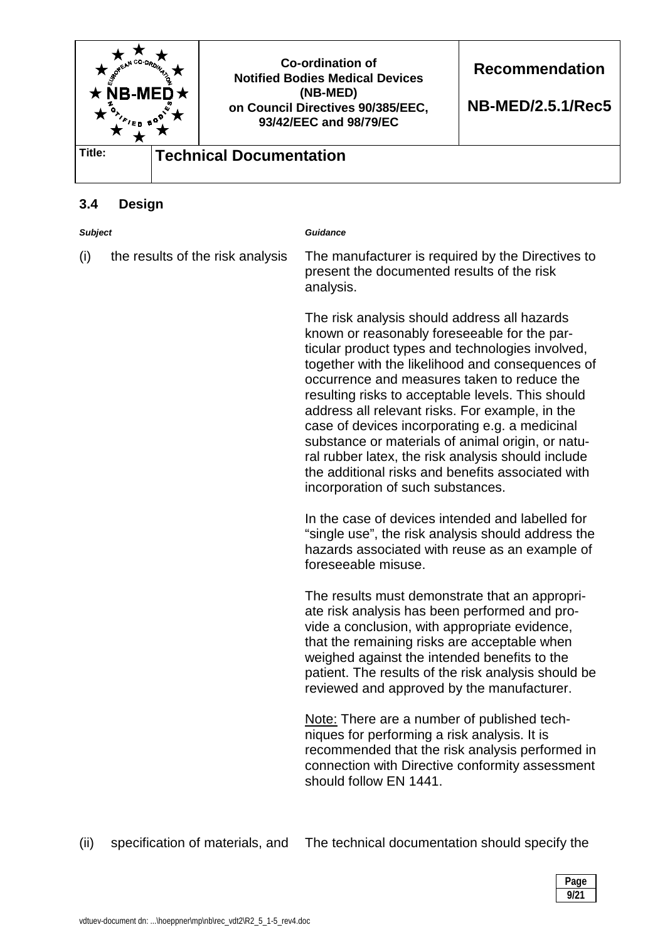

## **3.4 Design**

| <b>Subject</b> |                                  | <b>Guidance</b>                                                                                                                                                                                                                                                                                                                                                                                                                                                                                                                                                                                                    |
|----------------|----------------------------------|--------------------------------------------------------------------------------------------------------------------------------------------------------------------------------------------------------------------------------------------------------------------------------------------------------------------------------------------------------------------------------------------------------------------------------------------------------------------------------------------------------------------------------------------------------------------------------------------------------------------|
| (i)            | the results of the risk analysis | The manufacturer is required by the Directives to<br>present the documented results of the risk<br>analysis.                                                                                                                                                                                                                                                                                                                                                                                                                                                                                                       |
|                |                                  | The risk analysis should address all hazards<br>known or reasonably foreseeable for the par-<br>ticular product types and technologies involved,<br>together with the likelihood and consequences of<br>occurrence and measures taken to reduce the<br>resulting risks to acceptable levels. This should<br>address all relevant risks. For example, in the<br>case of devices incorporating e.g. a medicinal<br>substance or materials of animal origin, or natu-<br>ral rubber latex, the risk analysis should include<br>the additional risks and benefits associated with<br>incorporation of such substances. |
|                |                                  | In the case of devices intended and labelled for<br>"single use", the risk analysis should address the<br>hazards associated with reuse as an example of<br>foreseeable misuse.                                                                                                                                                                                                                                                                                                                                                                                                                                    |
|                |                                  | The results must demonstrate that an appropri-<br>ate risk analysis has been performed and pro-<br>vide a conclusion, with appropriate evidence,<br>that the remaining risks are acceptable when<br>weighed against the intended benefits to the<br>patient. The results of the risk analysis should be<br>reviewed and approved by the manufacturer.                                                                                                                                                                                                                                                              |
|                |                                  | Note: There are a number of published tech-<br>niques for performing a risk analysis. It is<br>recommended that the risk analysis performed in<br>connection with Directive conformity assessment<br>should follow EN 1441.                                                                                                                                                                                                                                                                                                                                                                                        |

(ii) specification of materials, and The technical documentation should specify the

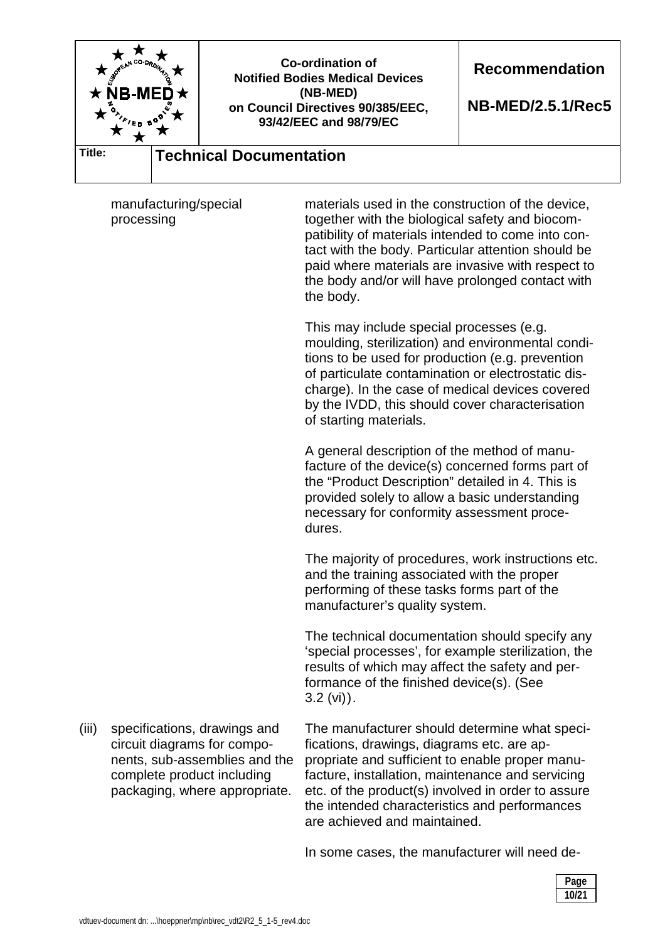

| Page<br>. . |
|-------------|
| 10/21       |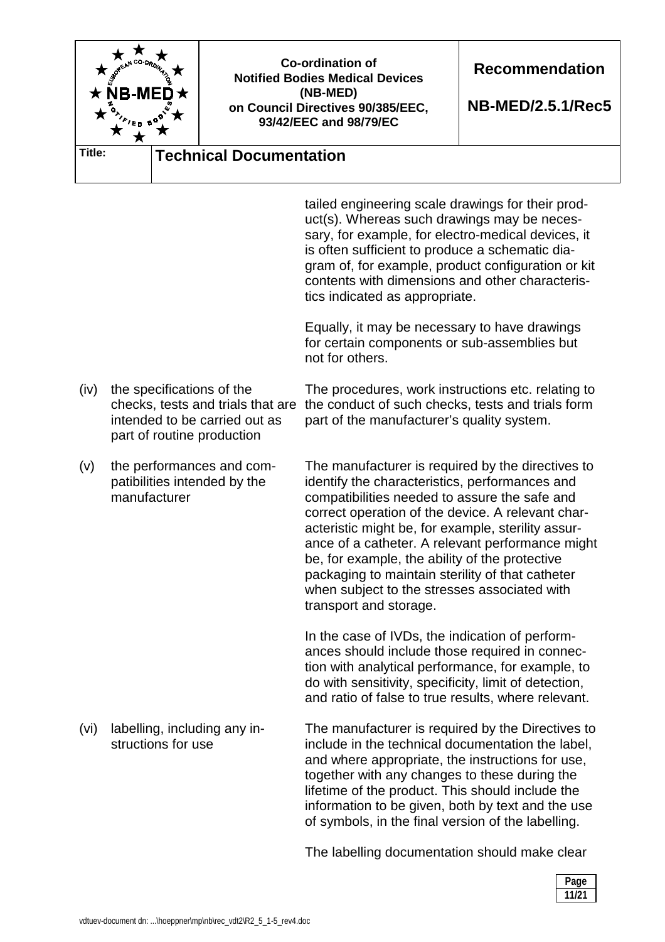

and where appropriate, the instructions for use, together with any changes to these during the lifetime of the product. This should include the information to be given, both by text and the use of symbols, in the final version of the labelling.

The labelling documentation should make clear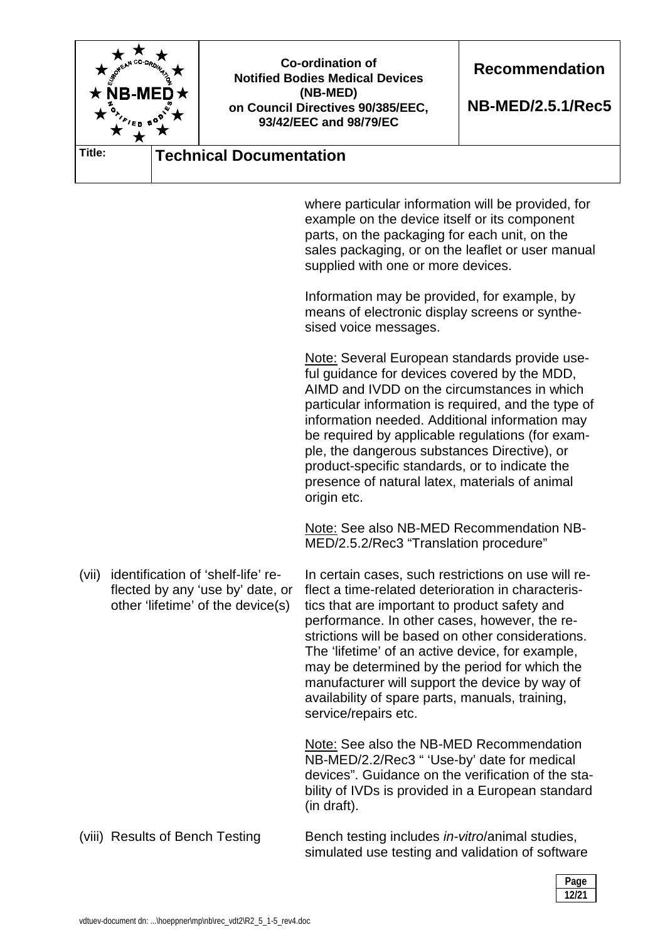

where particular information will be provided, for example on the device itself or its component parts, on the packaging for each unit, on the sales packaging, or on the leaflet or user manual supplied with one or more devices.

Information may be provided, for example, by means of electronic display screens or synthesised voice messages.

Note: Several European standards provide useful guidance for devices covered by the MDD, AIMD and IVDD on the circumstances in which particular information is required, and the type of information needed. Additional information may be required by applicable regulations (for example, the dangerous substances Directive), or product-specific standards, or to indicate the presence of natural latex, materials of animal origin etc.

Note: See also NB-MED Recommendation NB-MED/2.5.2/Rec3 "Translation procedure"

(vii) identification of 'shelf-life' reflected by any 'use by' date, or other 'lifetime' of the device(s)

In certain cases, such restrictions on use will reflect a time-related deterioration in characteristics that are important to product safety and performance. In other cases, however, the restrictions will be based on other considerations. The 'lifetime' of an active device, for example, may be determined by the period for which the manufacturer will support the device by way of availability of spare parts, manuals, training, service/repairs etc.

Note: See also the NB-MED Recommendation NB-MED/2.2/Rec3 " 'Use-by' date for medical devices". Guidance on the verification of the stability of IVDs is provided in a European standard (in draft).

#### (viii) Results of Bench Testing Bench testing includes *in-vitro*/animal studies, simulated use testing and validation of software

| Page<br>. . |
|-------------|
| 12/21       |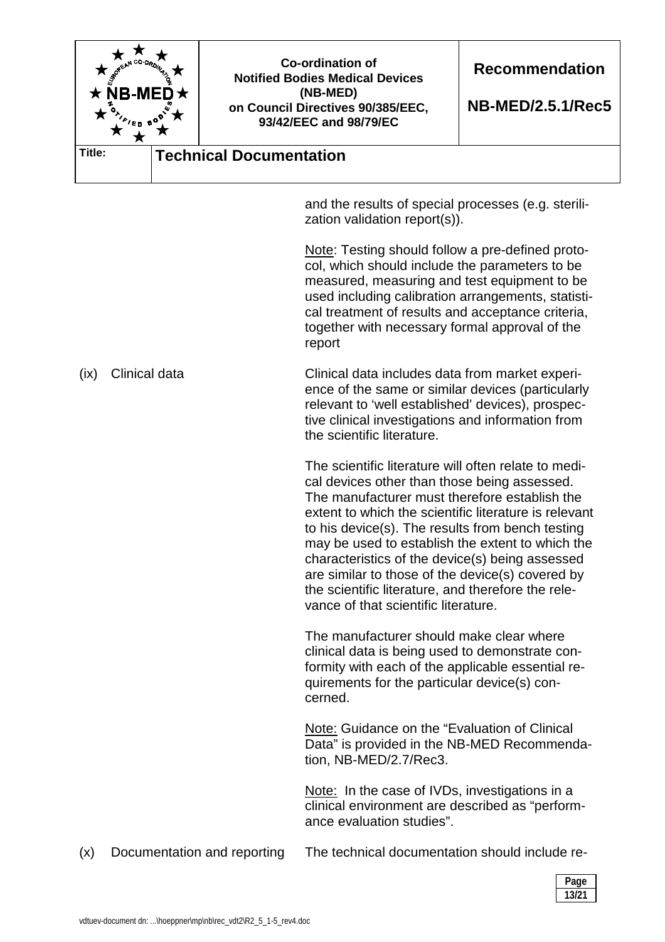| NB-M<br><sup>*</sup> /ep 9 |                                                                                                                                                                                                                                                               | <b>Co-ordination of</b><br><b>Notified Bodies Medical Devices</b><br>(NB-MED)<br>on Council Directives 90/385/EEC,<br>93/42/EEC and 98/79/EC |                                                                                                                                                                                                                                                                                                                                                                                                                                                                                                                             | <b>Recommendation</b><br><b>NB-MED/2.5.1/Rec5</b> |
|----------------------------|---------------------------------------------------------------------------------------------------------------------------------------------------------------------------------------------------------------------------------------------------------------|----------------------------------------------------------------------------------------------------------------------------------------------|-----------------------------------------------------------------------------------------------------------------------------------------------------------------------------------------------------------------------------------------------------------------------------------------------------------------------------------------------------------------------------------------------------------------------------------------------------------------------------------------------------------------------------|---------------------------------------------------|
| Title:                     |                                                                                                                                                                                                                                                               | <b>Technical Documentation</b>                                                                                                               |                                                                                                                                                                                                                                                                                                                                                                                                                                                                                                                             |                                                   |
|                            |                                                                                                                                                                                                                                                               |                                                                                                                                              | and the results of special processes (e.g. sterili-<br>zation validation report(s)).                                                                                                                                                                                                                                                                                                                                                                                                                                        |                                                   |
|                            |                                                                                                                                                                                                                                                               |                                                                                                                                              | Note: Testing should follow a pre-defined proto-<br>col, which should include the parameters to be<br>measured, measuring and test equipment to be<br>used including calibration arrangements, statisti-<br>cal treatment of results and acceptance criteria,<br>together with necessary formal approval of the<br>report                                                                                                                                                                                                   |                                                   |
| (ix)                       | Clinical data<br>Clinical data includes data from market experi-<br>ence of the same or similar devices (particularly<br>relevant to 'well established' devices), prospec-<br>tive clinical investigations and information from<br>the scientific literature. |                                                                                                                                              |                                                                                                                                                                                                                                                                                                                                                                                                                                                                                                                             |                                                   |
|                            |                                                                                                                                                                                                                                                               |                                                                                                                                              | The scientific literature will often relate to medi-<br>cal devices other than those being assessed.<br>The manufacturer must therefore establish the<br>extent to which the scientific literature is relevant<br>to his device(s). The results from bench testing<br>may be used to establish the extent to which the<br>characteristics of the device(s) being assessed<br>are similar to those of the device(s) covered by<br>the scientific literature, and therefore the rele-<br>vance of that scientific literature. |                                                   |
|                            |                                                                                                                                                                                                                                                               |                                                                                                                                              | The manufacturer should make clear where<br>clinical data is being used to demonstrate con-<br>formity with each of the applicable essential re-<br>quirements for the particular device(s) con-<br>cerned.                                                                                                                                                                                                                                                                                                                 |                                                   |
|                            |                                                                                                                                                                                                                                                               |                                                                                                                                              | Note: Guidance on the "Evaluation of Clinical<br>Data" is provided in the NB-MED Recommenda-<br>tion, NB-MED/2.7/Rec3.                                                                                                                                                                                                                                                                                                                                                                                                      |                                                   |
|                            |                                                                                                                                                                                                                                                               |                                                                                                                                              | Note: In the case of IVDs, investigations in a<br>clinical environment are described as "perform-<br>ance evaluation studies".                                                                                                                                                                                                                                                                                                                                                                                              |                                                   |
| (x)                        |                                                                                                                                                                                                                                                               | Documentation and reporting                                                                                                                  | The technical documentation should include re-                                                                                                                                                                                                                                                                                                                                                                                                                                                                              |                                                   |

 **Page 13/21**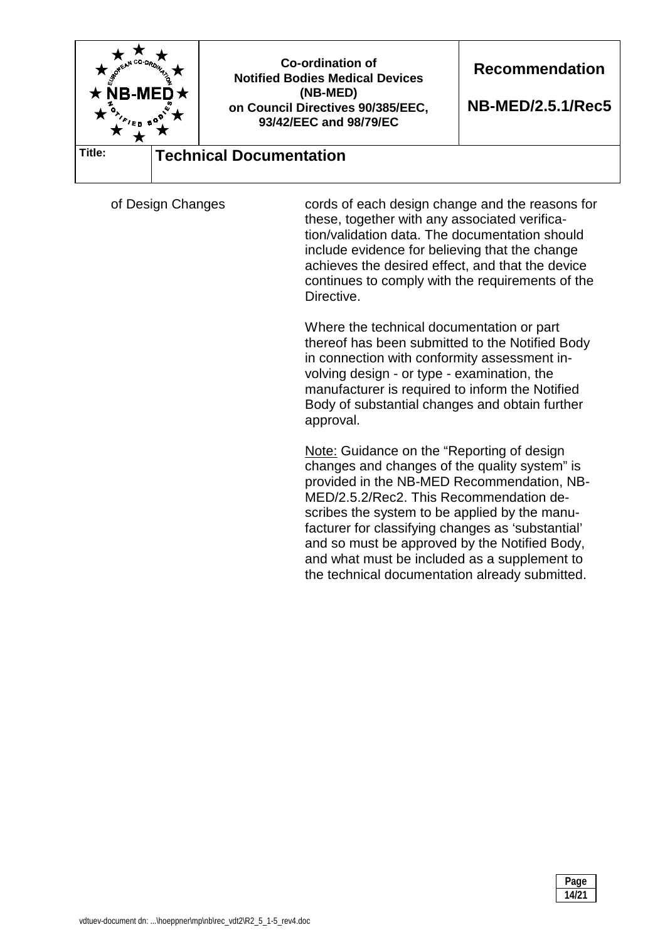

of Design Changes cords of each design change and the reasons for these, together with any associated verification/validation data. The documentation should include evidence for believing that the change achieves the desired effect, and that the device continues to comply with the requirements of the Directive.

> Where the technical documentation or part thereof has been submitted to the Notified Body in connection with conformity assessment involving design - or type - examination, the manufacturer is required to inform the Notified Body of substantial changes and obtain further approval.

> Note: Guidance on the "Reporting of design changes and changes of the quality system" is provided in the NB-MED Recommendation, NB-MED/2.5.2/Rec2. This Recommendation describes the system to be applied by the manufacturer for classifying changes as 'substantial' and so must be approved by the Notified Body, and what must be included as a supplement to the technical documentation already submitted.

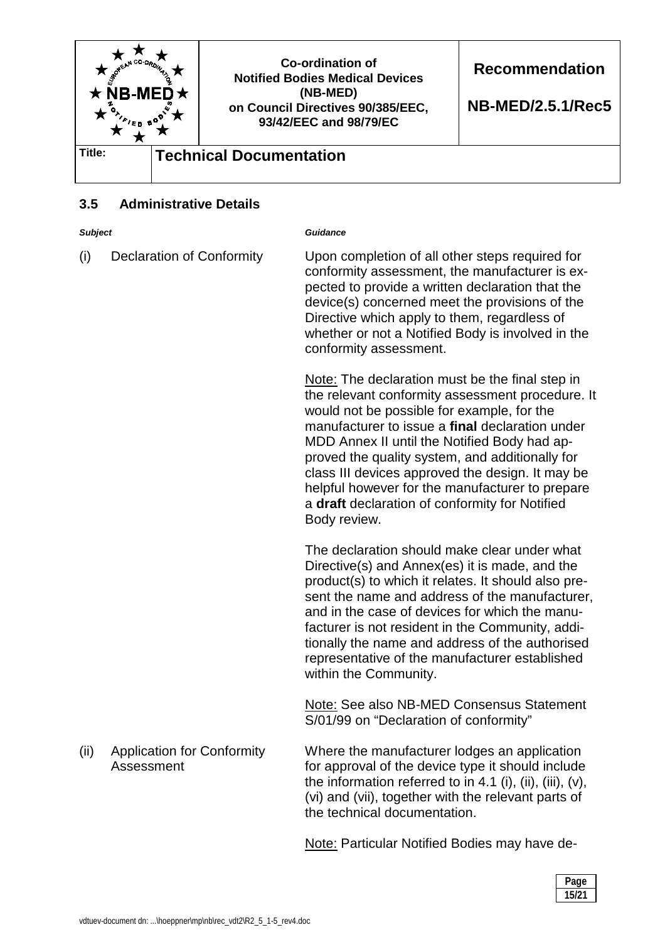

## **3.5 Administrative Details**

*Subject Guidance* 

(i) Declaration of Conformity Upon completion of all other steps required for conformity assessment, the manufacturer is expected to provide a written declaration that the device(s) concerned meet the provisions of the Directive which apply to them, regardless of whether or not a Notified Body is involved in the conformity assessment.

> Note: The declaration must be the final step in the relevant conformity assessment procedure. It would not be possible for example, for the manufacturer to issue a **final** declaration under MDD Annex II until the Notified Body had approved the quality system, and additionally for class III devices approved the design. It may be helpful however for the manufacturer to prepare a **draft** declaration of conformity for Notified Body review.

The declaration should make clear under what Directive(s) and Annex(es) it is made, and the product(s) to which it relates. It should also present the name and address of the manufacturer, and in the case of devices for which the manufacturer is not resident in the Community, additionally the name and address of the authorised representative of the manufacturer established within the Community.

Note: See also NB-MED Consensus Statement S/01/99 on "Declaration of conformity"

(ii) Application for Conformity Assessment Where the manufacturer lodges an application for approval of the device type it should include the information referred to in 4.1 (i), (ii), (iii),  $(v)$ , (vi) and (vii), together with the relevant parts of the technical documentation.

Note: Particular Notified Bodies may have de-

| Page<br>. . |
|-------------|
| 15/21       |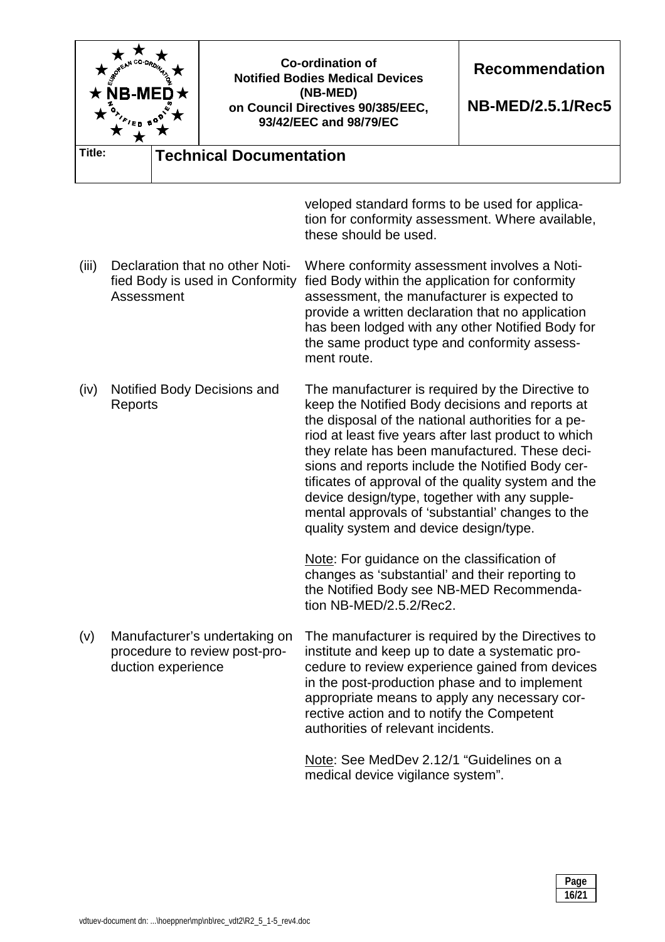|        | A SEEAN CO-ORDINA<br><b>NB-ME</b><br>'en b <sup>c</sup> |                                                                    | <b>Co-ordination of</b><br><b>Notified Bodies Medical Devices</b><br>(NB-MED)<br>on Council Directives 90/385/EEC,<br>93/42/EEC and 98/79/EC                                                                                                                                                                                                                                                                                                                                                                                  | <b>Recommendation</b><br><b>NB-MED/2.5.1/Rec5</b> |  |
|--------|---------------------------------------------------------|--------------------------------------------------------------------|-------------------------------------------------------------------------------------------------------------------------------------------------------------------------------------------------------------------------------------------------------------------------------------------------------------------------------------------------------------------------------------------------------------------------------------------------------------------------------------------------------------------------------|---------------------------------------------------|--|
| Title: |                                                         | <b>Technical Documentation</b>                                     |                                                                                                                                                                                                                                                                                                                                                                                                                                                                                                                               |                                                   |  |
|        |                                                         |                                                                    | veloped standard forms to be used for applica-<br>tion for conformity assessment. Where available,<br>these should be used.                                                                                                                                                                                                                                                                                                                                                                                                   |                                                   |  |
| (iii)  | Assessment                                              | Declaration that no other Noti-<br>fied Body is used in Conformity | Where conformity assessment involves a Noti-<br>fied Body within the application for conformity<br>assessment, the manufacturer is expected to<br>provide a written declaration that no application<br>has been lodged with any other Notified Body for<br>the same product type and conformity assess-<br>ment route.                                                                                                                                                                                                        |                                                   |  |
| (iv)   | Notified Body Decisions and<br>Reports                  |                                                                    | The manufacturer is required by the Directive to<br>keep the Notified Body decisions and reports at<br>the disposal of the national authorities for a pe-<br>riod at least five years after last product to which<br>they relate has been manufactured. These deci-<br>sions and reports include the Notified Body cer-<br>tificates of approval of the quality system and the<br>device design/type, together with any supple-<br>mental approvals of 'substantial' changes to the<br>quality system and device design/type. |                                                   |  |
|        |                                                         |                                                                    | Note: For guidance on the classification of<br>changes as 'substantial' and their reporting to<br>the Notified Body see NB-MED Recommenda-<br>tion NB-MED/2.5.2/Rec2.                                                                                                                                                                                                                                                                                                                                                         |                                                   |  |
| (v)    | duction experience                                      | Manufacturer's undertaking on<br>procedure to review post-pro-     | The manufacturer is required by the Directives to<br>institute and keep up to date a systematic pro-<br>cedure to review experience gained from devices<br>in the post-production phase and to implement<br>appropriate means to apply any necessary cor-<br>rective action and to notify the Competent<br>authorities of relevant incidents.<br>Note: See MedDev 2.12/1 "Guidelines on a<br>medical device vigilance system".                                                                                                |                                                   |  |

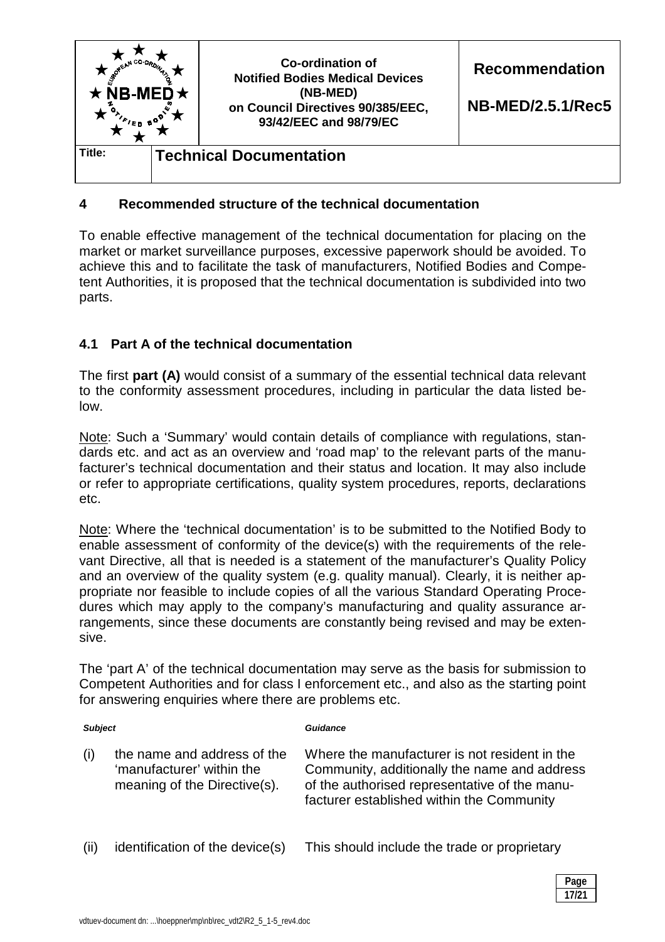

## **4 Recommended structure of the technical documentation**

To enable effective management of the technical documentation for placing on the market or market surveillance purposes, excessive paperwork should be avoided. To achieve this and to facilitate the task of manufacturers, Notified Bodies and Competent Authorities, it is proposed that the technical documentation is subdivided into two parts.

## **4.1 Part A of the technical documentation**

The first **part (A)** would consist of a summary of the essential technical data relevant to the conformity assessment procedures, including in particular the data listed below.

Note: Such a 'Summary' would contain details of compliance with regulations, standards etc. and act as an overview and 'road map' to the relevant parts of the manufacturer's technical documentation and their status and location. It may also include or refer to appropriate certifications, quality system procedures, reports, declarations etc.

Note: Where the 'technical documentation' is to be submitted to the Notified Body to enable assessment of conformity of the device(s) with the requirements of the relevant Directive, all that is needed is a statement of the manufacturer's Quality Policy and an overview of the quality system (e.g. quality manual). Clearly, it is neither appropriate nor feasible to include copies of all the various Standard Operating Procedures which may apply to the company's manufacturing and quality assurance arrangements, since these documents are constantly being revised and may be extensive.

The 'part A' of the technical documentation may serve as the basis for submission to Competent Authorities and for class I enforcement etc., and also as the starting point for answering enquiries where there are problems etc.

| <b>Subject</b> |                                                                                          | Guidance                                                                                                                                                                                    |  |  |
|----------------|------------------------------------------------------------------------------------------|---------------------------------------------------------------------------------------------------------------------------------------------------------------------------------------------|--|--|
| (i)            | the name and address of the<br>'manufacturer' within the<br>meaning of the Directive(s). | Where the manufacturer is not resident in the<br>Community, additionally the name and address<br>of the authorised representative of the manu-<br>facturer established within the Community |  |  |
| (ii)           | identification of the device(s)                                                          | This should include the trade or proprietary                                                                                                                                                |  |  |

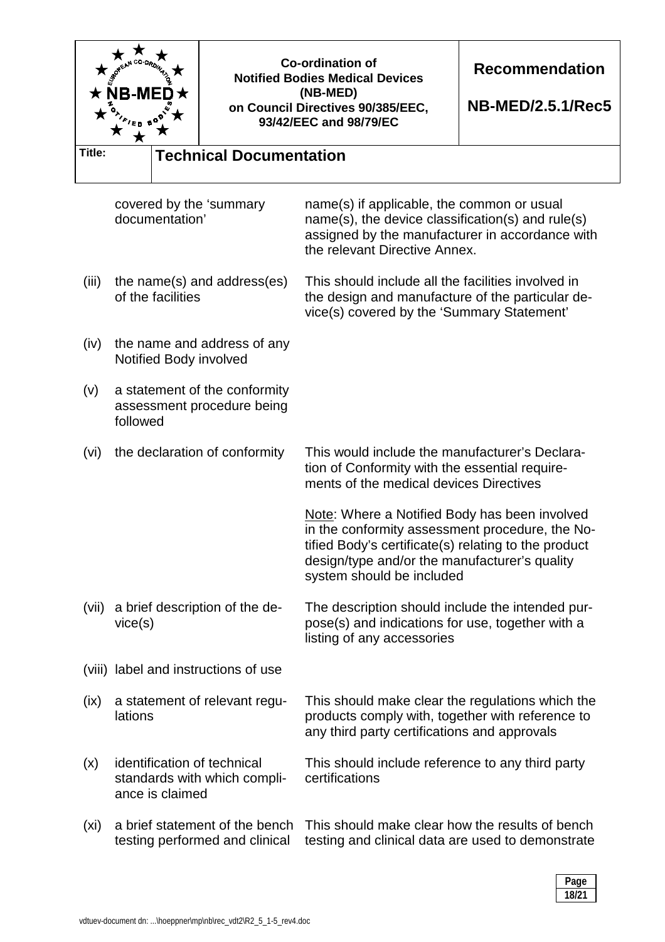| NB-MI             |                                           | <b>Co-ordination of</b><br><b>Notified Bodies Medical Devices</b><br>(NB-MED)<br>on Council Directives 90/385/EEC,<br>93/42/EEC and 98/79/EC | <b>Recommendation</b><br><b>NB-MED/2.5.1/Rec5</b> |                                                                                                                                                                                                           |  |  |
|-------------------|-------------------------------------------|----------------------------------------------------------------------------------------------------------------------------------------------|---------------------------------------------------|-----------------------------------------------------------------------------------------------------------------------------------------------------------------------------------------------------------|--|--|
| Title:            |                                           | <b>Technical Documentation</b>                                                                                                               |                                                   |                                                                                                                                                                                                           |  |  |
|                   | documentation'                            | covered by the 'summary                                                                                                                      |                                                   | name(s) if applicable, the common or usual<br>$name(s)$ , the device classification(s) and rule(s)<br>assigned by the manufacturer in accordance with<br>the relevant Directive Annex.                    |  |  |
| (iii)             | of the facilities                         | the name(s) and address(es)                                                                                                                  |                                                   | This should include all the facilities involved in<br>the design and manufacture of the particular de-<br>vice(s) covered by the 'Summary Statement'                                                      |  |  |
| (iv)              |                                           | the name and address of any<br>Notified Body involved                                                                                        |                                                   |                                                                                                                                                                                                           |  |  |
| (v)               | followed                                  | a statement of the conformity<br>assessment procedure being                                                                                  |                                                   |                                                                                                                                                                                                           |  |  |
| (vi)              | the declaration of conformity             |                                                                                                                                              |                                                   | This would include the manufacturer's Declara-<br>tion of Conformity with the essential require-<br>ments of the medical devices Directives                                                               |  |  |
|                   |                                           |                                                                                                                                              | system should be included                         | Note: Where a Notified Body has been involved<br>in the conformity assessment procedure, the No-<br>tified Body's certificate(s) relating to the product<br>design/type and/or the manufacturer's quality |  |  |
| (vii)             | a brief description of the de-<br>vice(s) |                                                                                                                                              | listing of any accessories                        | The description should include the intended pur-<br>pose(s) and indications for use, together with a                                                                                                      |  |  |
|                   |                                           | (viii) label and instructions of use                                                                                                         |                                                   |                                                                                                                                                                                                           |  |  |
| (ix)              | a statement of relevant regu-<br>lations  |                                                                                                                                              |                                                   | This should make clear the regulations which the<br>products comply with, together with reference to<br>any third party certifications and approvals                                                      |  |  |
| (x)               | ance is claimed                           | identification of technical<br>standards with which compli-                                                                                  | certifications                                    | This should include reference to any third party                                                                                                                                                          |  |  |
| (x <sub>i</sub> ) |                                           | a brief statement of the bench<br>testing performed and clinical                                                                             |                                                   | This should make clear how the results of bench<br>testing and clinical data are used to demonstrate                                                                                                      |  |  |

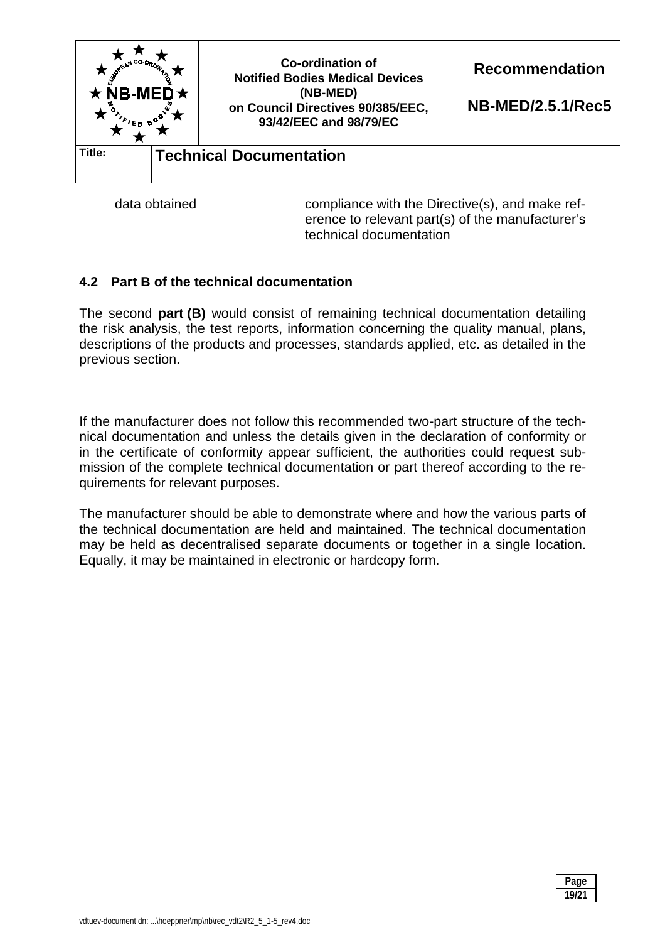

data obtained compliance with the Directive(s), and make reference to relevant part(s) of the manufacturer's technical documentation

## **4.2 Part B of the technical documentation**

The second **part (B)** would consist of remaining technical documentation detailing the risk analysis, the test reports, information concerning the quality manual, plans, descriptions of the products and processes, standards applied, etc. as detailed in the previous section.

If the manufacturer does not follow this recommended two-part structure of the technical documentation and unless the details given in the declaration of conformity or in the certificate of conformity appear sufficient, the authorities could request submission of the complete technical documentation or part thereof according to the requirements for relevant purposes.

The manufacturer should be able to demonstrate where and how the various parts of the technical documentation are held and maintained. The technical documentation may be held as decentralised separate documents or together in a single location. Equally, it may be maintained in electronic or hardcopy form.

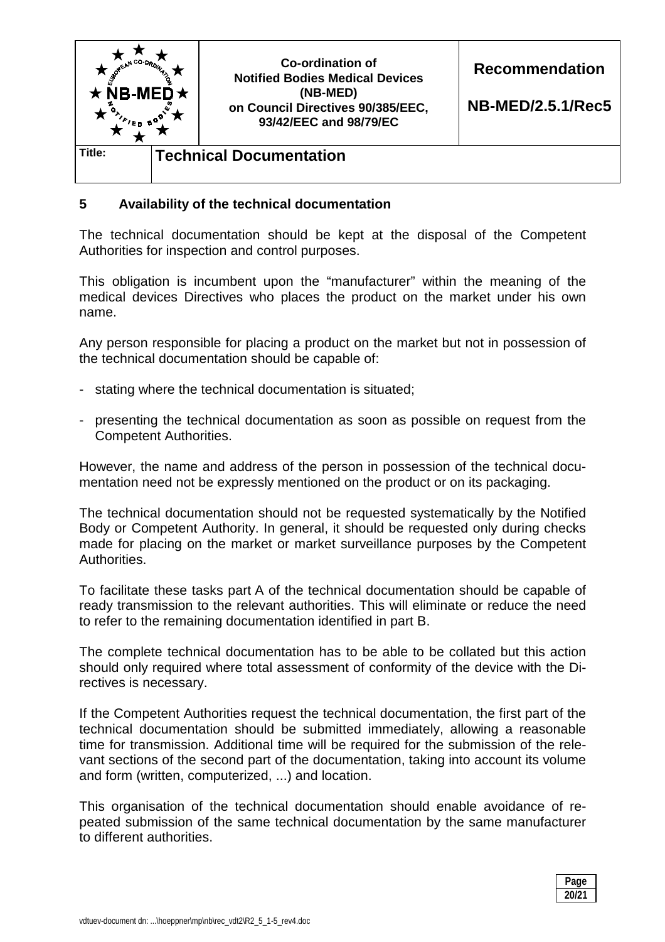

### **5 Availability of the technical documentation**

The technical documentation should be kept at the disposal of the Competent Authorities for inspection and control purposes.

This obligation is incumbent upon the "manufacturer" within the meaning of the medical devices Directives who places the product on the market under his own name.

Any person responsible for placing a product on the market but not in possession of the technical documentation should be capable of:

- stating where the technical documentation is situated;
- presenting the technical documentation as soon as possible on request from the Competent Authorities.

However, the name and address of the person in possession of the technical documentation need not be expressly mentioned on the product or on its packaging.

The technical documentation should not be requested systematically by the Notified Body or Competent Authority. In general, it should be requested only during checks made for placing on the market or market surveillance purposes by the Competent **Authorities** 

To facilitate these tasks part A of the technical documentation should be capable of ready transmission to the relevant authorities. This will eliminate or reduce the need to refer to the remaining documentation identified in part B.

The complete technical documentation has to be able to be collated but this action should only required where total assessment of conformity of the device with the Directives is necessary.

If the Competent Authorities request the technical documentation, the first part of the technical documentation should be submitted immediately, allowing a reasonable time for transmission. Additional time will be required for the submission of the relevant sections of the second part of the documentation, taking into account its volume and form (written, computerized, ...) and location.

This organisation of the technical documentation should enable avoidance of repeated submission of the same technical documentation by the same manufacturer to different authorities.

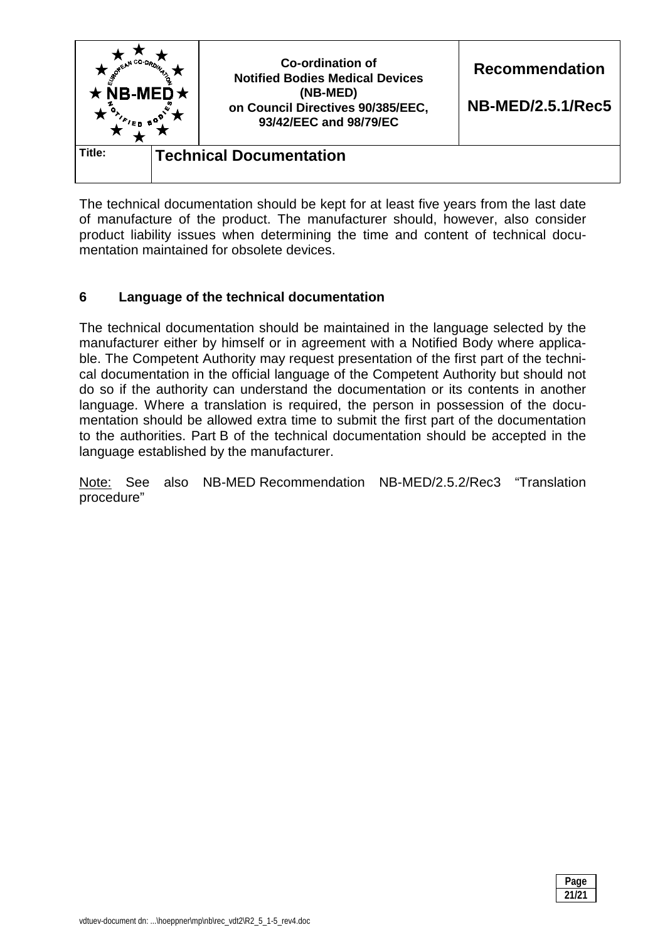

The technical documentation should be kept for at least five years from the last date of manufacture of the product. The manufacturer should, however, also consider product liability issues when determining the time and content of technical documentation maintained for obsolete devices.

## **6 Language of the technical documentation**

The technical documentation should be maintained in the language selected by the manufacturer either by himself or in agreement with a Notified Body where applicable. The Competent Authority may request presentation of the first part of the technical documentation in the official language of the Competent Authority but should not do so if the authority can understand the documentation or its contents in another language. Where a translation is required, the person in possession of the documentation should be allowed extra time to submit the first part of the documentation to the authorities. Part B of the technical documentation should be accepted in the language established by the manufacturer.

Note: See also NB-MED Recommendation NB-MED/2.5.2/Rec3 "Translation procedure"

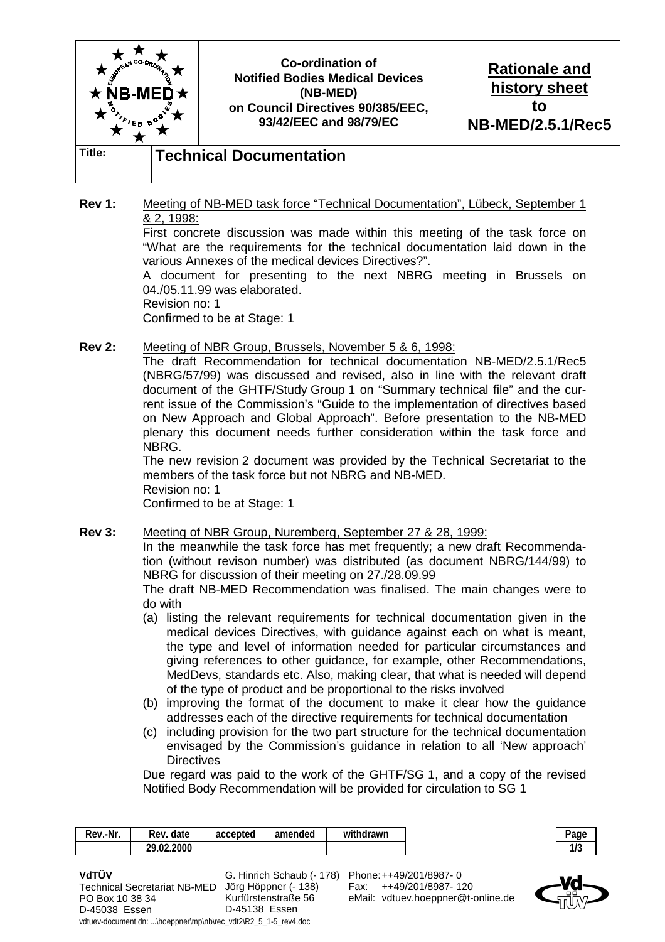

**Rev 1:** Meeting of NB-MED task force "Technical Documentation", Lübeck, September 1 & 2, 1998:

 First concrete discussion was made within this meeting of the task force on "What are the requirements for the technical documentation laid down in the various Annexes of the medical devices Directives?".

 A document for presenting to the next NBRG meeting in Brussels on 04./05.11.99 was elaborated.

Revision no: 1

D-45038 Essen

Confirmed to be at Stage: 1

**Rev 2:** Meeting of NBR Group, Brussels, November 5 & 6, 1998:

 The draft Recommendation for technical documentation NB-MED/2.5.1/Rec5 (NBRG/57/99) was discussed and revised, also in line with the relevant draft document of the GHTF/Study Group 1 on "Summary technical file" and the current issue of the Commission's "Guide to the implementation of directives based on New Approach and Global Approach". Before presentation to the NB-MED plenary this document needs further consideration within the task force and NBRG.

 The new revision 2 document was provided by the Technical Secretariat to the members of the task force but not NBRG and NB-MED. Revision no: 1 Confirmed to be at Stage: 1

**Rev 3:** Meeting of NBR Group, Nuremberg, September 27 & 28, 1999:

 In the meanwhile the task force has met frequently; a new draft Recommendation (without revison number) was distributed (as document NBRG/144/99) to NBRG for discussion of their meeting on 27./28.09.99

 The draft NB-MED Recommendation was finalised. The main changes were to do with

- (a) listing the relevant requirements for technical documentation given in the medical devices Directives, with guidance against each on what is meant, the type and level of information needed for particular circumstances and giving references to other guidance, for example, other Recommendations, MedDevs, standards etc. Also, making clear, that what is needed will depend of the type of product and be proportional to the risks involved
- (b) improving the format of the document to make it clear how the guidance addresses each of the directive requirements for technical documentation
- (c) including provision for the two part structure for the technical documentation envisaged by the Commission's guidance in relation to all 'New approach' **Directives**

 Due regard was paid to the work of the GHTF/SG 1, and a copy of the revised Notified Body Recommendation will be provided for circulation to SG 1

| Rev.-Nr.                                       | Rev. date<br>29.02.2000             | accepted                                                                             | amended                                           | withdrawn |                                             | Page<br>1/3 |
|------------------------------------------------|-------------------------------------|--------------------------------------------------------------------------------------|---------------------------------------------------|-----------|---------------------------------------------|-------------|
| VdTÜV                                          |                                     |                                                                                      |                                                   |           |                                             |             |
|                                                | <b>Technical Secretariat NB-MED</b> |                                                                                      | G. Hinrich Schaub (- 178)<br>Jörg Höppner (- 138) | Fax:      | Phone: ++49/201/8987-0<br>++49/201/8987-120 |             |
| PO Box 10 38 34<br>$\sim$ $\sim$ $\sim$ $\sim$ |                                     | $\Gamma$ $\Lambda$ $\Gamma$ $\Lambda$ $\Omega$ $\Gamma$ $\Lambda$ $\Omega$ $\Lambda$ | Kurfürstenstraße 56                               |           | eMail: vdtuev.hoeppner@t-online.de          |             |

D-45138 Essen

vdtuev-document dn: ...\hoeppner\mp\nb\rec\_vdt2\R2\_5\_1-5\_rev4.doc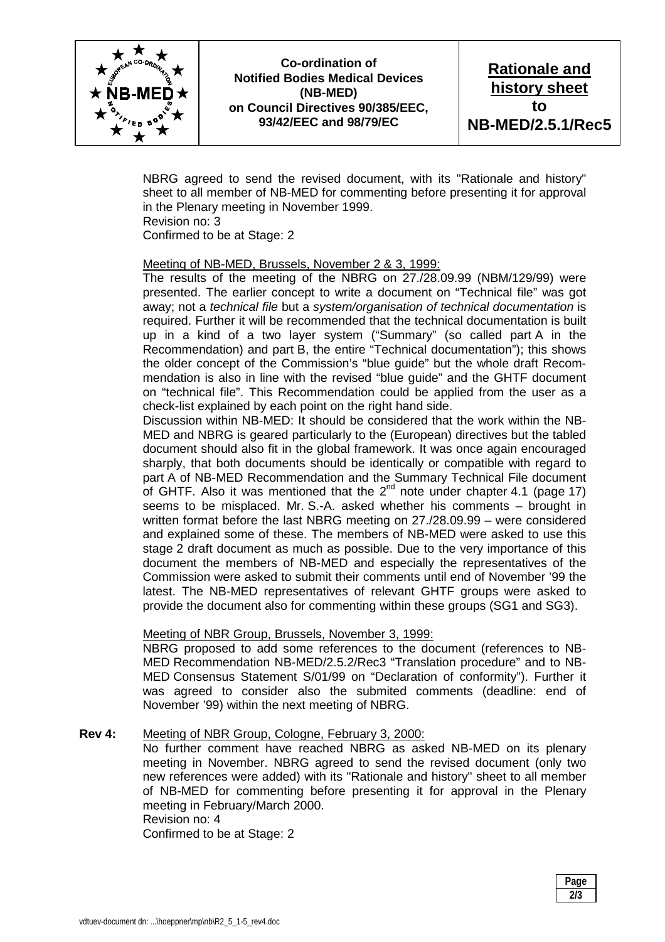

**Co-ordination of Notified Bodies Medical Devices (NB-MED) on Council Directives 90/385/EEC, 93/42/EEC and 98/79/EC** 

**Rationale and history sheet to NB-MED/2.5.1/Rec5** 

 NBRG agreed to send the revised document, with its "Rationale and history" sheet to all member of NB-MED for commenting before presenting it for approval in the Plenary meeting in November 1999. Revision no: 3

Confirmed to be at Stage: 2

#### Meeting of NB-MED, Brussels, November 2 & 3, 1999:

 The results of the meeting of the NBRG on 27./28.09.99 (NBM/129/99) were presented. The earlier concept to write a document on "Technical file" was got away; not a *technical file* but a *system/organisation of technical documentation* is required. Further it will be recommended that the technical documentation is built up in a kind of a two layer system ("Summary" (so called part A in the Recommendation) and part B, the entire "Technical documentation"); this shows the older concept of the Commission's "blue guide" but the whole draft Recommendation is also in line with the revised "blue guide" and the GHTF document on "technical file". This Recommendation could be applied from the user as a check-list explained by each point on the right hand side.

 Discussion within NB-MED: It should be considered that the work within the NB-MED and NBRG is geared particularly to the (European) directives but the tabled document should also fit in the global framework. It was once again encouraged sharply, that both documents should be identically or compatible with regard to part A of NB-MED Recommendation and the Summary Technical File document of GHTF. Also it was mentioned that the  $2^{nd}$  note under chapter 4.1 (page 17) seems to be misplaced. Mr. S.-A. asked whether his comments – brought in written format before the last NBRG meeting on 27./28.09.99 – were considered and explained some of these. The members of NB-MED were asked to use this stage 2 draft document as much as possible. Due to the very importance of this document the members of NB-MED and especially the representatives of the Commission were asked to submit their comments until end of November '99 the latest. The NB-MED representatives of relevant GHTF groups were asked to provide the document also for commenting within these groups (SG1 and SG3).

#### Meeting of NBR Group, Brussels, November 3, 1999:

 NBRG proposed to add some references to the document (references to NB-MED Recommendation NB-MED/2.5.2/Rec3 "Translation procedure" and to NB-MED Consensus Statement S/01/99 on "Declaration of conformity"). Further it was agreed to consider also the submited comments (deadline: end of November '99) within the next meeting of NBRG.

#### **Rev 4:** Meeting of NBR Group, Cologne, February 3, 2000:

 No further comment have reached NBRG as asked NB-MED on its plenary meeting in November. NBRG agreed to send the revised document (only two new references were added) with its "Rationale and history" sheet to all member of NB-MED for commenting before presenting it for approval in the Plenary meeting in February/March 2000. Revision no: 4

Confirmed to be at Stage: 2